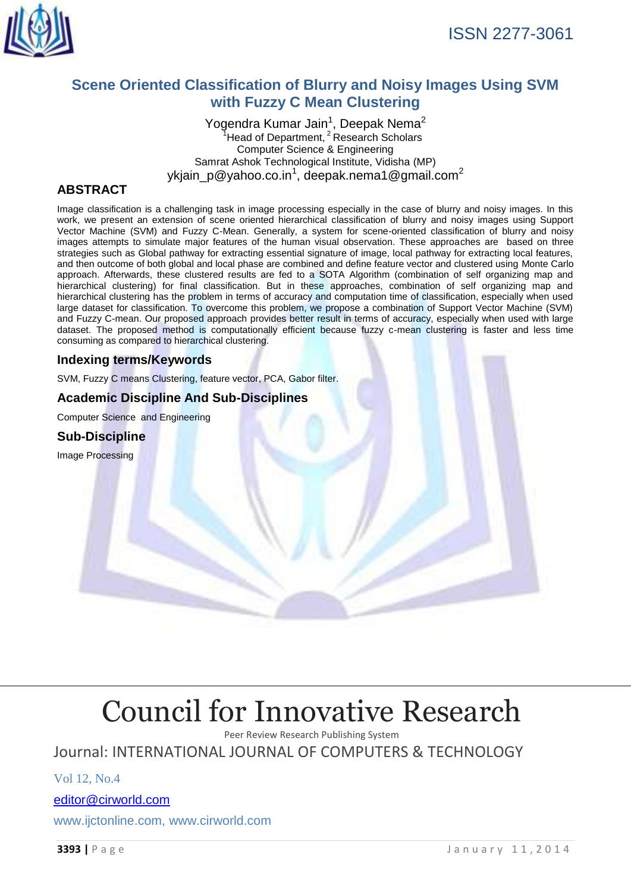

# **Scene Oriented Classification of Blurry and Noisy Images Using SVM with Fuzzy C Mean Clustering**

Yogendra Kumar Jain<sup>1</sup>, Deepak Nema<sup>2</sup>  $1$ Head of Department,  $2$ Research Scholars Computer Science & Engineering Samrat Ashok Technological Institute, Vidisha (MP) ykjain\_p@yahoo.co.in<sup>1</sup>, deepak.nema1@gmail.com<sup>2</sup>

# **ABSTRACT**

Image classification is a challenging task in image processing especially in the case of blurry and noisy images. In this work, we present an extension of scene oriented hierarchical classification of blurry and noisy images using Support Vector Machine (SVM) and Fuzzy C-Mean. Generally, a system for scene-oriented classification of blurry and noisy images attempts to simulate major features of the human visual observation. These approaches are based on three strategies such as Global pathway for extracting essential signature of image, local pathway for extracting local features, and then outcome of both global and local phase are combined and define feature vector and clustered using Monte Carlo approach. Afterwards, these clustered results are fed to a SOTA Algorithm (combination of self organizing map and hierarchical clustering) for final classification. But in these approaches, combination of self organizing map and hierarchical clustering has the problem in terms of accuracy and computation time of classification, especially when used large dataset for classification. To overcome this problem, we propose a combination of Support Vector Machine (SVM) and Fuzzy C-mean. Our proposed approach provides better result in terms of accuracy, especially when used with large dataset. The proposed method is computationally efficient because fuzzy c-mean clustering is faster and less time consuming as compared to hierarchical clustering.

## **Indexing terms/Keywords**

SVM, Fuzzy C means Clustering, feature vector, PCA, Gabor filter.

# **Academic Discipline And Sub-Disciplines**

Computer Science and Engineering

## **Sub-Discipline**

Image Processing

# [Council for Innovative Research](http://member.cirworld.com/)

Peer Review Research Publishing System

Journal: INTERNATIONAL JOURNAL OF COMPUTERS & TECHNOLOGY

Vol 12, No.4

[editor@cirworld.com](mailto:editor@cirworld.com)

www.ijctonline.com, [www.cirworld.com](http://www.cirworld.com/)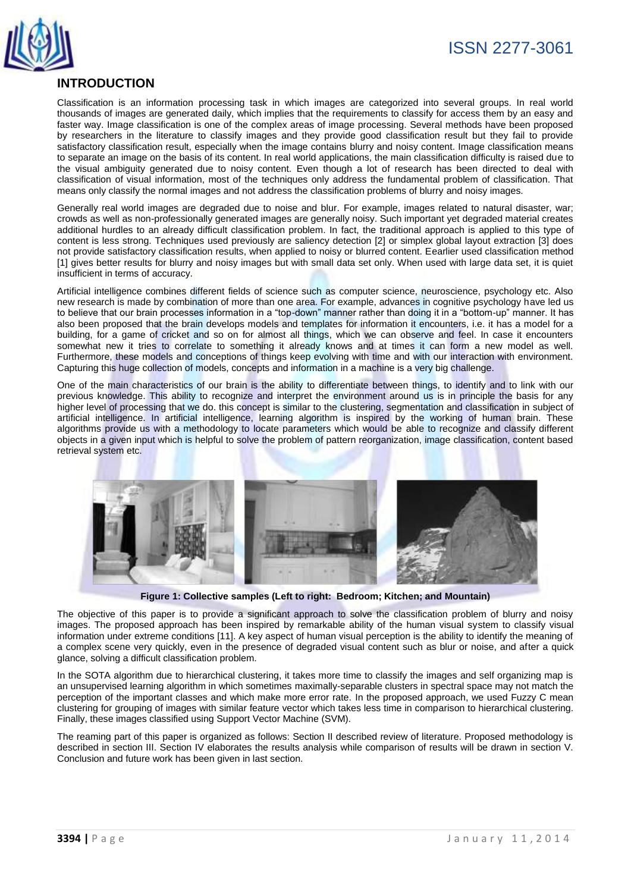

# **INTRODUCTION**

Classification is an information processing task in which images are categorized into several groups. In real world thousands of images are generated daily, which implies that the requirements to classify for access them by an easy and faster way. Image classification is one of the complex areas of image processing. Several methods have been proposed by researchers in the literature to classify images and they provide good classification result but they fail to provide satisfactory classification result, especially when the image contains blurry and noisy content. Image classification means to separate an image on the basis of its content. In real world applications, the main classification difficulty is raised due to the visual ambiguity generated due to noisy content. Even though a lot of research has been directed to deal with classification of visual information, most of the techniques only address the fundamental problem of classification. That means only classify the normal images and not address the classification problems of blurry and noisy images.

Generally real world images are degraded due to noise and blur. For example, images related to natural disaster, war; crowds as well as non-professionally generated images are generally noisy. Such important yet degraded material creates additional hurdles to an already difficult classification problem. In fact, the traditional approach is applied to this type of content is less strong. Techniques used previously are saliency detection [2] or simplex global layout extraction [3] does not provide satisfactory classification results, when applied to noisy or blurred content. Eearlier used classification method [1] gives better results for blurry and noisy images but with small data set only. When used with large data set, it is quiet insufficient in terms of accuracy.

Artificial intelligence combines different fields of science such as computer science, neuroscience, psychology etc. Also new research is made by combination of more than one area. For example, advances in cognitive psychology have led us to believe that our brain processes information in a "top-down" manner rather than doing it in a "bottom-up" manner. It has also been proposed that the brain develops models and templates for information it encounters, i.e. it has a model for a building, for a game of cricket and so on for almost all things, which we can observe and feel. In case it encounters somewhat new it tries to correlate to something it already knows and at times it can form a new model as well. Furthermore, these models and conceptions of things keep evolving with time and with our interaction with environment. Capturing this huge collection of models, concepts and information in a machine is a very big challenge.

One of the main characteristics of our brain is the ability to differentiate between things, to identify and to link with our previous knowledge. This ability to recognize and interpret the environment around us is in principle the basis for any higher level of processing that we do. this concept is similar to the clustering, segmentation and classification in subject of artificial intelligence. In artificial intelligence, learning algorithm is inspired by the working of human brain. These algorithms provide us with a methodology to locate parameters which would be able to recognize and classify different objects in a given input which is helpful to solve the problem of pattern reorganization, image classification, content based retrieval system etc.



**Figure 1: Collective samples (Left to right: Bedroom; Kitchen; and Mountain)** 

The objective of this paper is to provide a significant approach to solve the classification problem of blurry and noisy images. The proposed approach has been inspired by remarkable ability of the human visual system to classify visual information under extreme conditions [11]. A key aspect of human visual perception is the ability to identify the meaning of a complex scene very quickly, even in the presence of degraded visual content such as blur or noise, and after a quick glance, solving a difficult classification problem.

In the SOTA algorithm due to hierarchical clustering, it takes more time to classify the images and self organizing map is an unsupervised learning algorithm in which sometimes maximally-separable clusters in spectral space may not match the perception of the important classes and which make more error rate. In the proposed approach, we used Fuzzy C mean clustering for grouping of images with similar feature vector which takes less time in comparison to hierarchical clustering. Finally, these images classified using Support Vector Machine (SVM).

The reaming part of this paper is organized as follows: Section II described review of literature. Proposed methodology is described in section III. Section IV elaborates the results analysis while comparison of results will be drawn in section V. Conclusion and future work has been given in last section.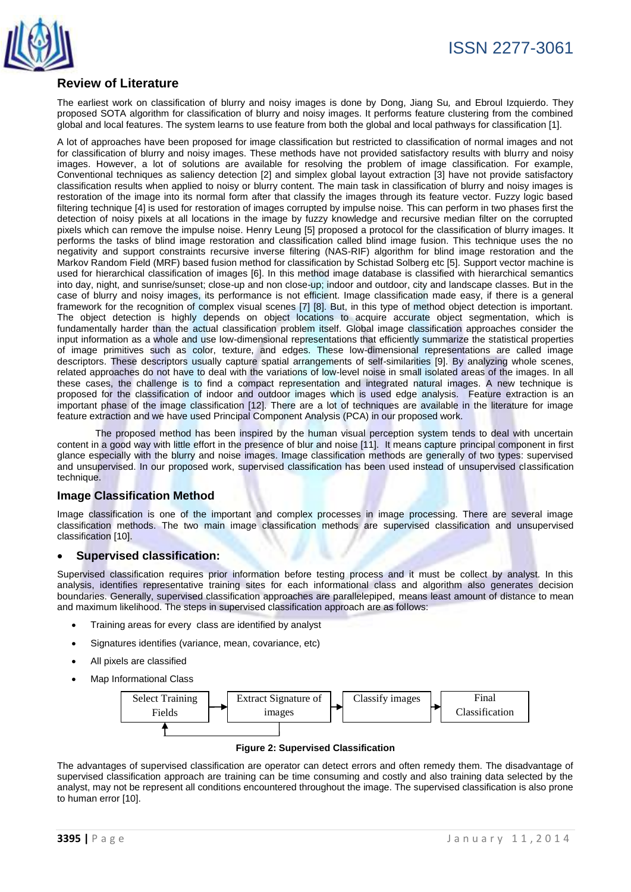

# **Review of Literature**

The earliest work on classification of blurry and noisy images is done by Dong, Jiang Su*,* and Ebroul Izquierdo. They proposed SOTA algorithm for classification of blurry and noisy images. It performs feature clustering from the combined global and local features. The system learns to use feature from both the global and local pathways for classification [1].

A lot of approaches have been proposed for image classification but restricted to classification of normal images and not for classification of blurry and noisy images. These methods have not provided satisfactory results with blurry and noisy images. However, a lot of solutions are available for resolving the problem of image classification. For example, Conventional techniques as saliency detection [2] and simplex global layout extraction [3] have not provide satisfactory classification results when applied to noisy or blurry content. The main task in classification of blurry and noisy images is restoration of the image into its normal form after that classify the images through its feature vector. Fuzzy logic based filtering technique [4] is used for restoration of images corrupted by impulse noise. This can perform in two phases first the detection of noisy pixels at all locations in the image by fuzzy knowledge and recursive median filter on the corrupted pixels which can remove the impulse noise. Henry Leung [5] proposed a protocol for the classification of blurry images. It performs the tasks of blind image restoration and classification called blind image fusion. This technique uses the no negativity and support constraints recursive inverse filtering (NAS-RIF) algorithm for blind image restoration and the Markov Random Field (MRF) based fusion method for classification by Schistad Solberg etc [5]. Support vector machine is used for hierarchical classification of images [6]. In this method image database is classified with hierarchical semantics into day, night, and sunrise/sunset; close-up and non close-up; indoor and outdoor, city and landscape classes. But in the case of blurry and noisy images, its performance is not efficient. Image classification made easy, if there is a general framework for the recognition of complex visual scenes [7] [8]. But, in this type of method object detection is important. The object detection is highly depends on object locations to acquire accurate object segmentation, which is fundamentally harder than the actual classification problem itself. Global image classification approaches consider the input information as a whole and use low-dimensional representations that efficiently summarize the statistical properties of image primitives such as color, texture, and edges. These low-dimensional representations are called image descriptors. These descriptors usually capture spatial arrangements of self-similarities [9]. By analyzing whole scenes, related approaches do not have to deal with the variations of low-level noise in small isolated areas of the images. In all these cases, the challenge is to find a compact representation and integrated natural images. A new technique is proposed for the classification of indoor and outdoor images which is used edge analysis. Feature extraction is an important phase of the image classification [12]. There are a lot of techniques are available in the literature for image feature extraction and we have used Principal Component Analysis (PCA) in our proposed work.

The proposed method has been inspired by the human visual perception system tends to deal with uncertain content in a good way with little effort in the presence of blur and noise [11]. It means capture principal component in first glance especially with the blurry and noise images. Image classification methods are generally of two types: supervised and unsupervised. In our proposed work, supervised classification has been used instead of unsupervised classification technique.

#### **Image Classification Method**

Image classification is one of the important and complex processes in image processing. There are several image classification methods. The two main image classification methods are supervised classification and unsupervised classification [10].

#### **Supervised classification:**

Supervised classification requires prior information before testing process and it must be collect by analyst. In this analysis, identifies representative training sites for each informational class and algorithm also generates decision boundaries. Generally, supervised classification approaches are parallelepiped, means least amount of distance to mean and maximum likelihood. The steps in supervised classification approach are as follows:

- Training areas for every class are identified by analyst
- Signatures identifies (variance, mean, covariance, etc)
- All pixels are classified
- Map Informational Class



#### **Figure 2: Supervised Classification**

The advantages of supervised classification are operator can detect errors and often remedy them. The disadvantage of supervised classification approach are training can be time consuming and costly and also training data selected by the analyst, may not be represent all conditions encountered throughout the image. The supervised classification is also prone to human error [10].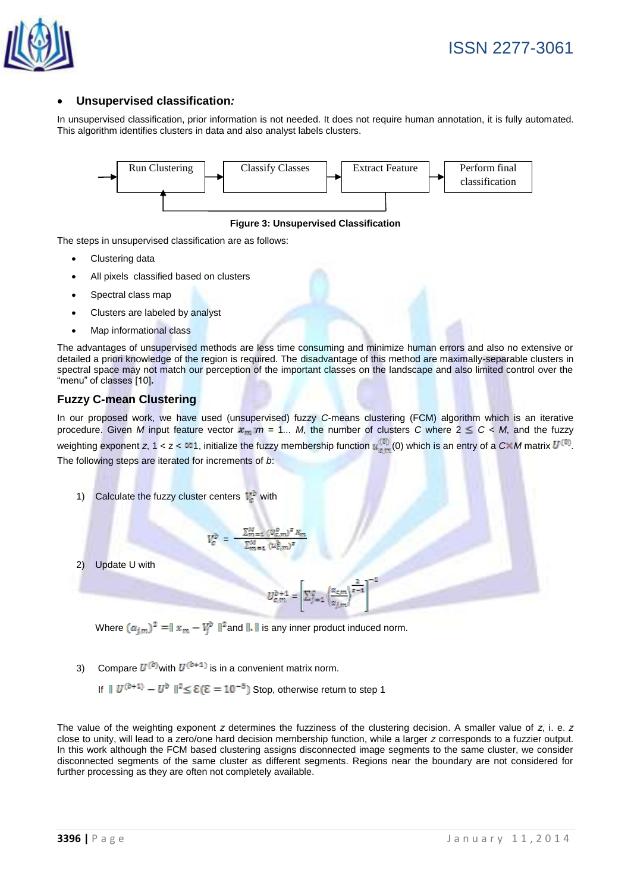

#### **Unsupervised classification***:*

In unsupervised classification, prior information is not needed. It does not require human annotation, it is fully automated. This algorithm identifies clusters in data and also analyst labels clusters.



**Figure 3: Unsupervised Classification**

The steps in unsupervised classification are as follows:

- Clustering data
- All pixels classified based on clusters
- Spectral class map
- Clusters are labeled by analyst
- Map informational class

The advantages of unsupervised methods are less time consuming and minimize human errors and also no extensive or detailed a priori knowledge of the region is required. The disadvantage of this method are maximally-separable clusters in spectral space may not match our perception of the important classes on the landscape and also limited control over the "menu" of classes [10]**.**

#### **Fuzzy C-mean Clustering**

In our proposed work, we have used (unsupervised) fuzzy *C*-means clustering (FCM) algorithm which is an iterative procedure. Given *M* input feature vector  $x_m$ : $m = 1...$  *M*, the number of clusters *C* where  $2 \le C < M$ , and the fuzzy weighting exponent *z*, 1 < z <  $\infty$ 1, initialize the fuzzy membership function  $u_{c,m}^{(0)}(0)$  which is an entry of a  $C\times M$  matrix  $U^{(0)}$ . The following steps are iterated for increments of *b*:

1) Calculate the fuzzy cluster centers  $V_c^b$  with

$$
V_c^b = \frac{\sum_{m=1}^{M} (U_c^b)^2 x_m}{\sum_{m=1}^{M} (u_c^b)^2}
$$

2) Update U with

$$
U_{c,m}^{b+1}=\left[\Sigma_{j=1}^c\left<\frac{\alpha_{c,m}}{\alpha_{j,m}}\right>^{\frac{2}{z-1}}\right]^{-1}
$$

Where  $(\alpha_{i,m})^2 = ||x_m - V_j^b||^2$  and  $||.||$  is any inner product induced norm.

3) Compare  $U^{(b)}$  with  $U^{(b+1)}$  is in a convenient matrix norm.

If  $||U^{(b+1)} - U^b||^2 \le \mathcal{E}(\mathcal{E} = 10^{-5})$  Stop, otherwise return to step 1

The value of the weighting exponent *z* determines the fuzziness of the clustering decision. A smaller value of *z*, i. e. *z* close to unity, will lead to a zero/one hard decision membership function, while a larger *z* corresponds to a fuzzier output. In this work although the FCM based clustering assigns disconnected image segments to the same cluster, we consider disconnected segments of the same cluster as different segments. Regions near the boundary are not considered for further processing as they are often not completely available.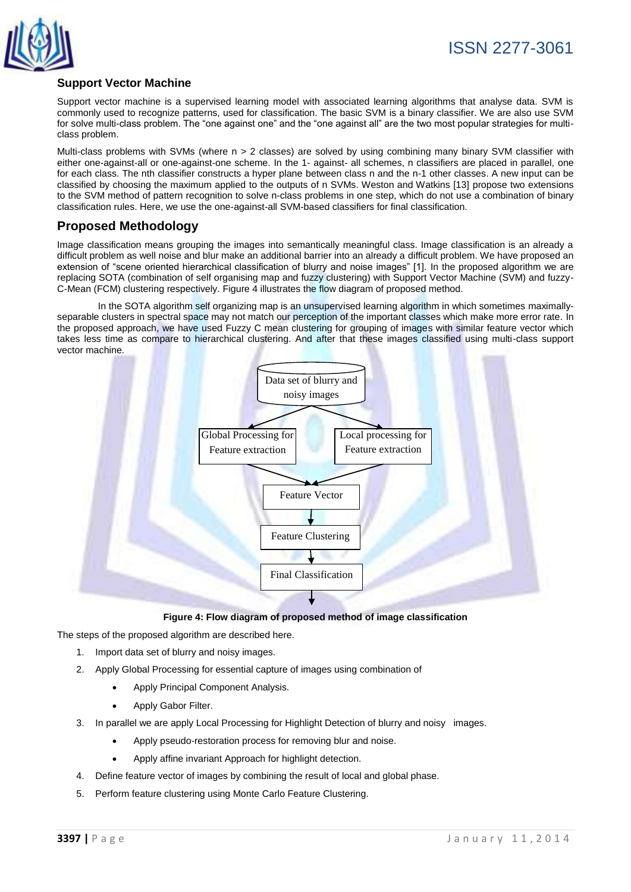

# **Support Vector Machine**

Support vector machine is a supervised learning model with associated learning algorithms that analyse data. SVM is commonly used to recognize patterns, used for classification. The basic SVM is a binary classifier. We are also use SVM for solve multi-class problem. The "one against one" and the "one against all" are the two most popular strategies for multiclass problem.

Multi-class problems with SVMs (where n > 2 classes) are solved by using combining many binary SVM classifier with either one-against-all or one-against-one scheme. In the 1- against- all schemes, n classifiers are placed in parallel, one for each class. The nth classifier constructs a hyper plane between class n and the n-1 other classes. A new input can be classified by choosing the maximum applied to the outputs of n SVMs. Weston and Watkins [13] propose two extensions to the SVM method of pattern recognition to solve n-class problems in one step, which do not use a combination of binary classification rules. Here, we use the one-against-all SVM-based classifiers for final classification.

# **Proposed Methodology**

Image classification means grouping the images into semantically meaningful class. Image classification is an already a difficult problem as well noise and blur make an additional barrier into an already a difficult problem. We have proposed an extension of "scene oriented hierarchical classification of blurry and noise images" [1]. In the proposed algorithm we are replacing SOTA (combination of self organising map and fuzzy clustering) with Support Vector Machine (SVM) and fuzzy-C-Mean (FCM) clustering respectively. Figure 4 illustrates the flow diagram of proposed method.

In the SOTA algorithm self organizing map is an unsupervised learning algorithm in which sometimes maximallyseparable clusters in spectral space may not match our perception of the important classes which make more error rate. In the proposed approach, we have used Fuzzy C mean clustering for grouping of images with similar feature vector which takes less time as compare to hierarchical clustering. And after that these images classified using multi-class support vector machine.



**Figure 4: Flow diagram of proposed method of image classification**

The steps of the proposed algorithm are described here.

- 1. Import data set of blurry and noisy images.
- 2. Apply Global Processing for essential capture of images using combination of
	- Apply Principal Component Analysis.
	- Apply Gabor Filter.
- 3. In parallel we are apply Local Processing for Highlight Detection of blurry and noisy images.
	- Apply pseudo-restoration process for removing blur and noise.
	- Apply affine invariant Approach for highlight detection.
- 4. Define feature vector of images by combining the result of local and global phase.
- 5. Perform feature clustering using Monte Carlo Feature Clustering.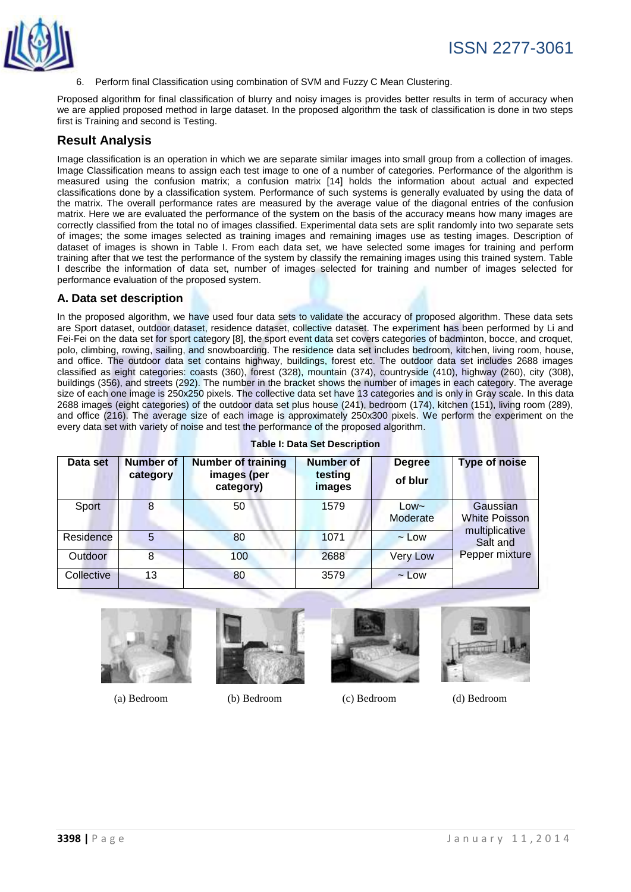

6. Perform final Classification using combination of SVM and Fuzzy C Mean Clustering.

Proposed algorithm for final classification of blurry and noisy images is provides better results in term of accuracy when we are applied proposed method in large dataset. In the proposed algorithm the task of classification is done in two steps first is Training and second is Testing.

#### **Result Analysis**

Image classification is an operation in which we are separate similar images into small group from a collection of images. Image Classification means to assign each test image to one of a number of categories. Performance of the algorithm is measured using the confusion matrix; a confusion matrix [14] holds the information about actual and expected classifications done by a classification system. Performance of such systems is generally evaluated by using the data of the matrix. The overall performance rates are measured by the average value of the diagonal entries of the confusion matrix. Here we are evaluated the performance of the system on the basis of the accuracy means how many images are correctly classified from the total no of images classified. Experimental data sets are split randomly into two separate sets of images; the some images selected as training images and remaining images use as testing images. Description of dataset of images is shown in Table I. From each data set, we have selected some images for training and perform training after that we test the performance of the system by classify the remaining images using this trained system. Table I describe the information of data set, number of images selected for training and number of images selected for performance evaluation of the proposed system.

#### **A. Data set description**

In the proposed algorithm, we have used four data sets to validate the accuracy of proposed algorithm. These data sets are Sport dataset, outdoor dataset, residence dataset, collective dataset. The experiment has been performed by Li and Fei-Fei on the data set for sport category [8], the sport event data set covers categories of badminton, bocce, and croquet, polo, climbing, rowing, sailing, and snowboarding. The residence data set includes bedroom, kitchen, living room, house, and office. The outdoor data set contains highway, buildings, forest etc. The outdoor data set includes 2688 images classified as eight categories: coasts (360), forest (328), mountain (374), countryside (410), highway (260), city (308), buildings (356), and streets (292). The number in the bracket shows the number of images in each category. The average size of each one image is 250x250 pixels. The collective data set have 13 categories and is only in Gray scale. In this data 2688 images (eight categories) of the outdoor data set plus house (241), bedroom (174), kitchen (151), living room (289), and office (216). The average size of each image is approximately 250x300 pixels. We perform the experiment on the every data set with variety of noise and test the performance of the proposed algorithm.

| Data set   | <b>Number of</b><br>category | <b>Number of training</b><br>images (per<br>category) | <b>Number of</b><br>testing<br>images | <b>Degree</b><br>of blur | <b>Type of noise</b>                               |
|------------|------------------------------|-------------------------------------------------------|---------------------------------------|--------------------------|----------------------------------------------------|
| Sport      |                              | 50                                                    | 1579                                  | $Low -$<br>Moderate      | Gaussian<br><b>White Poisson</b><br>multiplicative |
| Residence  | 5                            | 80                                                    | 1071                                  | $\sim$ Low               | Salt and                                           |
| Outdoor    | 8                            | 100                                                   | 2688                                  | <b>Very Low</b>          | Pepper mixture                                     |
| Collective | 13                           | 80                                                    | 3579                                  | $\sim$ Low               |                                                    |

**Table I: Data Set Description**



(a) Bedroom (b) Bedroom (c) Bedroom (d) Bedroom





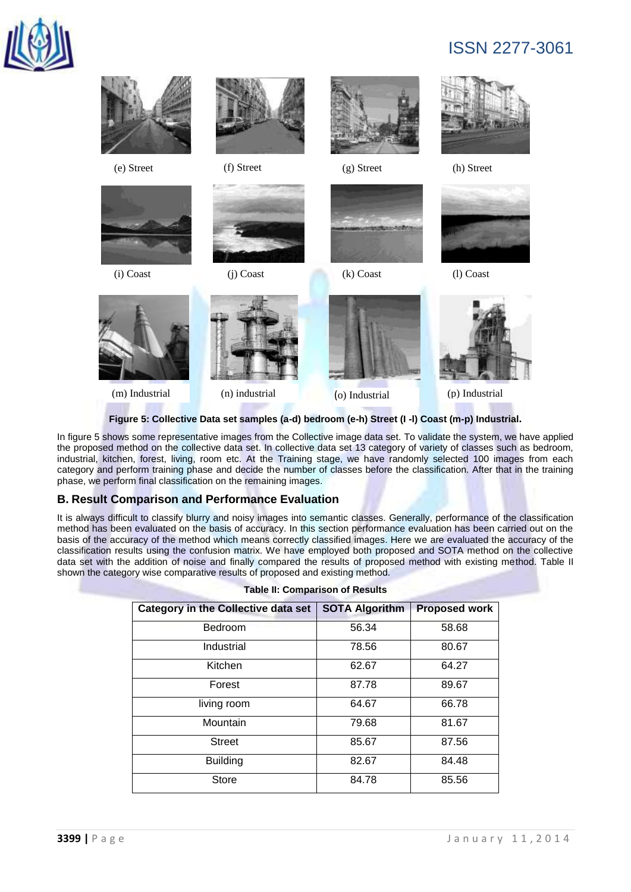

# ISSN 2277-3061



**Figure 5: Collective Data set samples (a-d) bedroom (e-h) Street (I -l) Coast (m-p) Industrial.**

In figure 5 shows some representative images from the Collective image data set. To validate the system, we have applied the proposed method on the collective data set. In collective data set 13 category of variety of classes such as bedroom, industrial, kitchen, forest, living, room etc. At the Training stage, we have randomly selected 100 images from each category and perform training phase and decide the number of classes before the classification. After that in the training phase, we perform final classification on the remaining images.

#### **B. Result Comparison and Performance Evaluation**

It is always difficult to classify blurry and noisy images into semantic classes. Generally, performance of the classification method has been evaluated on the basis of accuracy. In this section performance evaluation has been carried out on the basis of the accuracy of the method which means correctly classified images. Here we are evaluated the accuracy of the classification results using the confusion matrix. We have employed both proposed and SOTA method on the collective data set with the addition of noise and finally compared the results of proposed method with existing method. Table II shown the category wise comparative results of proposed and existing method.

| <b>Category in the Collective data set</b> | <b>SOTA Algorithm</b> | <b>Proposed work</b> |  |
|--------------------------------------------|-----------------------|----------------------|--|
| Bedroom                                    | 56.34                 | 58.68                |  |
| Industrial                                 | 78.56                 | 80.67                |  |
| Kitchen                                    | 62.67                 | 64.27                |  |
| Forest                                     | 87.78                 | 89.67                |  |
| living room                                | 64.67                 | 66.78                |  |
| Mountain                                   | 79.68                 | 81.67                |  |
| <b>Street</b>                              | 85.67                 | 87.56                |  |
| <b>Building</b>                            | 82.67                 | 84.48                |  |
| Store                                      | 84.78                 | 85.56                |  |

|  | <b>Table II: Comparison of Results</b> |  |
|--|----------------------------------------|--|
|--|----------------------------------------|--|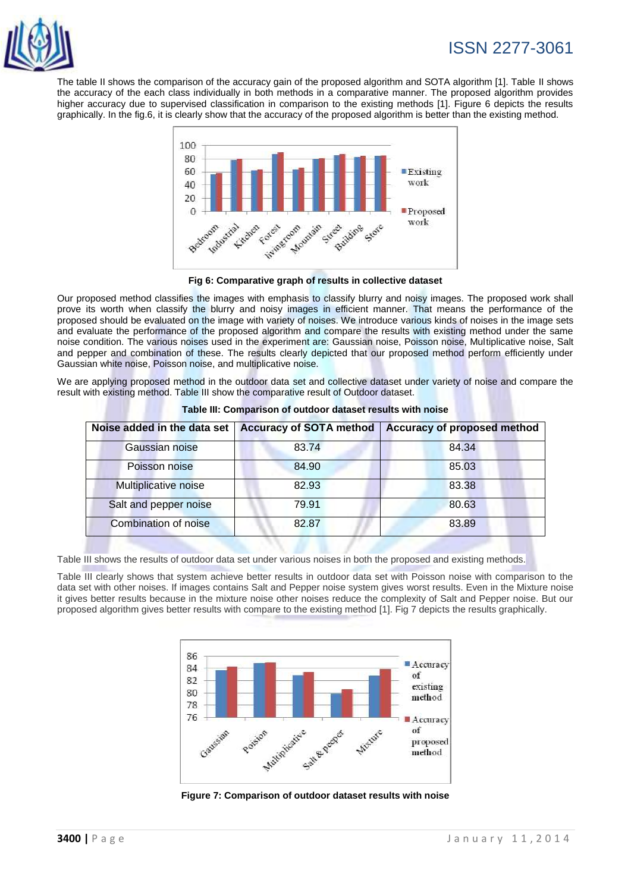

# ISSN 2277-3061

The table II shows the comparison of the accuracy gain of the proposed algorithm and SOTA algorithm [1]. Table II shows the accuracy of the each class individually in both methods in a comparative manner. The proposed algorithm provides higher accuracy due to supervised classification in comparison to the existing methods [1]. Figure 6 depicts the results graphically. In the fig.6, it is clearly show that the accuracy of the proposed algorithm is better than the existing method.



**Fig 6: Comparative graph of results in collective dataset**

Our proposed method classifies the images with emphasis to classify blurry and noisy images. The proposed work shall prove its worth when classify the blurry and noisy images in efficient manner. That means the performance of the proposed should be evaluated on the image with variety of noises. We introduce various kinds of noises in the image sets and evaluate the performance of the proposed algorithm and compare the results with existing method under the same noise condition. The various noises used in the experiment are: Gaussian noise, Poisson noise, Multiplicative noise, Salt and pepper and combination of these. The results clearly depicted that our proposed method perform efficiently under Gaussian white noise, Poisson noise, and multiplicative noise.

We are applying proposed method in the outdoor data set and collective dataset under variety of noise and compare the result with existing method. Table III show the comparative result of Outdoor dataset.

| Noise added in the data set |       | Accuracy of SOTA method   Accuracy of proposed method |
|-----------------------------|-------|-------------------------------------------------------|
| Gaussian noise              | 83.74 | 84.34                                                 |
| Poisson noise               | 84.90 | 85.03                                                 |
| Multiplicative noise        | 82.93 | 83.38                                                 |
| Salt and pepper noise       | 79.91 | 80.63                                                 |
| Combination of noise        | 82.87 | 83.89                                                 |

**Table III: Comparison of outdoor dataset results with noise**

Table III shows the results of outdoor data set under various noises in both the proposed and existing methods.

Table III clearly shows that system achieve better results in outdoor data set with Poisson noise with comparison to the data set with other noises. If images contains Salt and Pepper noise system gives worst results. Even in the Mixture noise it gives better results because in the mixture noise other noises reduce the complexity of Salt and Pepper noise. But our proposed algorithm gives better results with compare to the existing method [1]. Fig 7 depicts the results graphically.



**Figure 7: Comparison of outdoor dataset results with noise**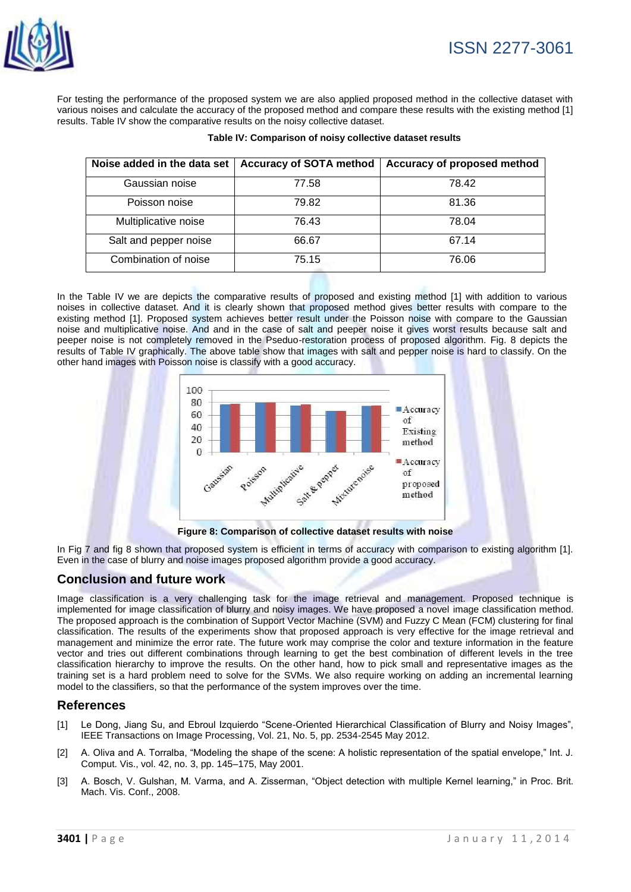

For testing the performance of the proposed system we are also applied proposed method in the collective dataset with various noises and calculate the accuracy of the proposed method and compare these results with the existing method [1] results. Table IV show the comparative results on the noisy collective dataset.

| Noise added in the data set | <b>Accuracy of SOTA method</b> | Accuracy of proposed method |
|-----------------------------|--------------------------------|-----------------------------|
| Gaussian noise              | 77.58                          | 78.42                       |
| Poisson noise               | 79.82                          | 81.36                       |
| Multiplicative noise        | 76.43                          | 78.04                       |
| Salt and pepper noise       | 66.67                          | 67.14                       |
| Combination of noise        | 75.15                          | 76.06                       |

| Table IV: Comparison of noisy collective dataset results |  |
|----------------------------------------------------------|--|
|----------------------------------------------------------|--|

In the Table IV we are depicts the comparative results of proposed and existing method [1] with addition to various noises in collective dataset. And it is clearly shown that proposed method gives better results with compare to the existing method [1]. Proposed system achieves better result under the Poisson noise with compare to the Gaussian noise and multiplicative noise. And and in the case of salt and peeper noise it gives worst results because salt and peeper noise is not completely removed in the Pseduo-restoration process of proposed algorithm. Fig. 8 depicts the results of Table IV graphically. The above table show that images with salt and pepper noise is hard to classify. On the other hand images with Poisson noise is classify with a good accuracy.



**Figure 8: Comparison of collective dataset results with noise**

In Fig 7 and fig 8 shown that proposed system is efficient in terms of accuracy with comparison to existing algorithm [1]. Even in the case of blurry and noise images proposed algorithm provide a good accuracy.

#### **Conclusion and future work**

Image classification is a very challenging task for the image retrieval and management. Proposed technique is implemented for image classification of blurry and noisy images. We have proposed a novel image classification method. The proposed approach is the combination of Support Vector Machine (SVM) and Fuzzy C Mean (FCM) clustering for final classification. The results of the experiments show that proposed approach is very effective for the image retrieval and management and minimize the error rate. The future work may comprise the color and texture information in the feature vector and tries out different combinations through learning to get the best combination of different levels in the tree classification hierarchy to improve the results. On the other hand, how to pick small and representative images as the training set is a hard problem need to solve for the SVMs. We also require working on adding an incremental learning model to the classifiers, so that the performance of the system improves over the time.

#### **References**

- [1] Le Dong, Jiang Su, and Ebroul Izquierdo "Scene-Oriented Hierarchical Classification of Blurry and Noisy Images", IEEE Transactions on Image Processing, Vol. 21, No. 5, pp. 2534-2545 May 2012.
- [2] A. Oliva and A. Torralba, "Modeling the shape of the scene: A holistic representation of the spatial envelope," Int. J. Comput. Vis., vol. 42, no. 3, pp. 145–175, May 2001.
- [3] A. Bosch, V. Gulshan, M. Varma, and A. Zisserman, "Object detection with multiple Kernel learning," in Proc. Brit. Mach. Vis. Conf., 2008.